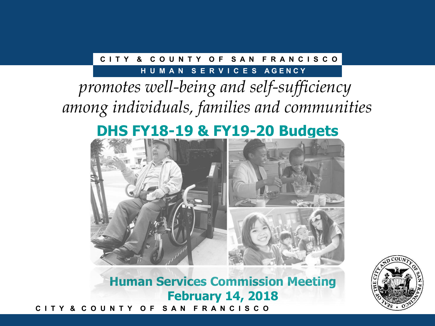### **C I T Y & C O U N T Y O F S A N F R A N C I S C O**

### **HUMAN SERVICES AGENCY**

# *promotes well-being and self-sufficiency among individuals, families and communities*

# **DHS FY18-19 & FY19-20 Budgets**



**C I T Y & C O U N T Y O F S A N F R A N C I S C O Human Services Commission Meeting February 14, 2018**

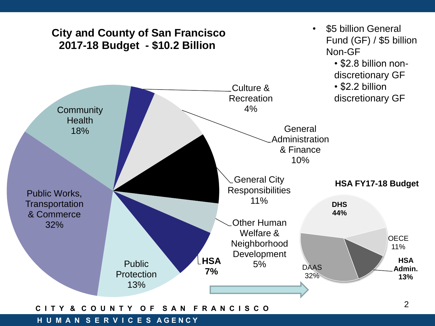

#### **C I T Y & C O U N T Y O F S A N F R A N C I S C O**

#### **H U M A N S E R V I C E S AGENCY**

2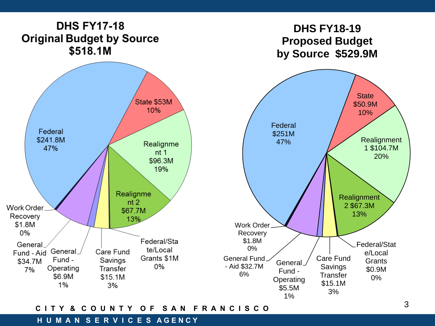

#### **C I T Y & C O U N T Y O F S A N F R A N C I S C O**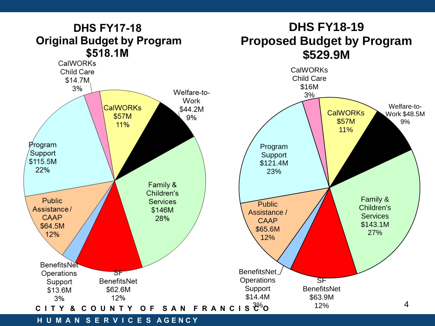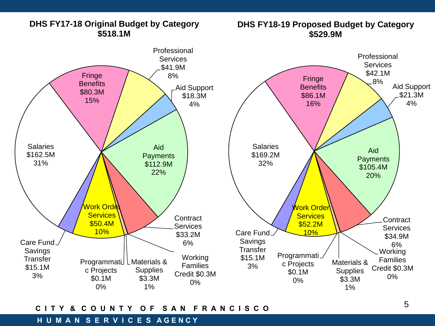

### **DHS FY17-18 Original Budget by Category \$518.1M**

## **DHS FY18-19 Proposed Budget by Category**

### **C I T Y & C O U N T Y O F S A N F R A N C I S C O**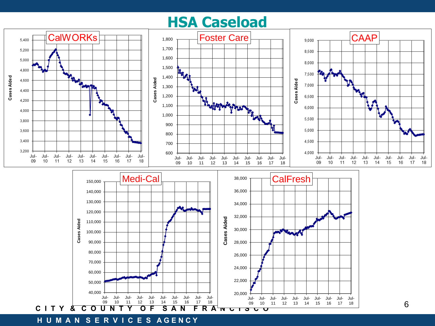## **HSA Caseload**

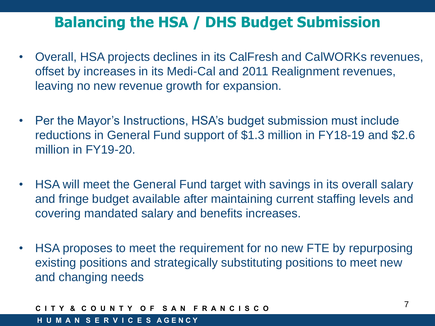## **Balancing the HSA / DHS Budget Submission**

- Overall, HSA projects declines in its CalFresh and CalWORKs revenues, offset by increases in its Medi-Cal and 2011 Realignment revenues, leaving no new revenue growth for expansion.
- Per the Mayor's Instructions, HSA's budget submission must include reductions in General Fund support of \$1.3 million in FY18-19 and \$2.6 million in FY19-20.
- HSA will meet the General Fund target with savings in its overall salary and fringe budget available after maintaining current staffing levels and covering mandated salary and benefits increases.
- HSA proposes to meet the requirement for no new FTE by repurposing existing positions and strategically substituting positions to meet new and changing needs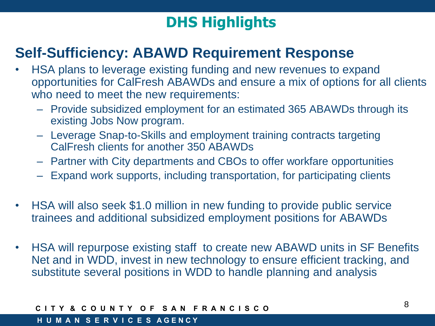# **DHS Highlights**

## **Self-Sufficiency: ABAWD Requirement Response**

- HSA plans to leverage existing funding and new revenues to expand opportunities for CalFresh ABAWDs and ensure a mix of options for all clients who need to meet the new requirements:
	- Provide subsidized employment for an estimated 365 ABAWDs through its existing Jobs Now program.
	- Leverage Snap-to-Skills and employment training contracts targeting CalFresh clients for another 350 ABAWDs
	- Partner with City departments and CBOs to offer workfare opportunities
	- Expand work supports, including transportation, for participating clients
- HSA will also seek \$1.0 million in new funding to provide public service trainees and additional subsidized employment positions for ABAWDs
- HSA will repurpose existing staff to create new ABAWD units in SF Benefits Net and in WDD, invest in new technology to ensure efficient tracking, and substitute several positions in WDD to handle planning and analysis

### Y & COUNTY OF SAN FRANCISCO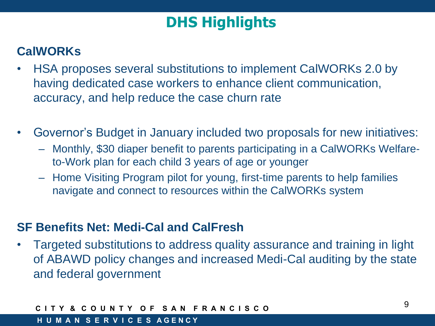# **DHS Highlights**

### **CalWORKs**

- HSA proposes several substitutions to implement CalWORKs 2.0 by having dedicated case workers to enhance client communication, accuracy, and help reduce the case churn rate
- Governor's Budget in January included two proposals for new initiatives:
	- Monthly, \$30 diaper benefit to parents participating in a CalWORKs Welfareto-Work plan for each child 3 years of age or younger
	- Home Visiting Program pilot for young, first-time parents to help families navigate and connect to resources within the CalWORKs system

### **SF Benefits Net: Medi-Cal and CalFresh**

• Targeted substitutions to address quality assurance and training in light of ABAWD policy changes and increased Medi-Cal auditing by the state and federal government

### Y & COUNTY OF SAN FRANCISCO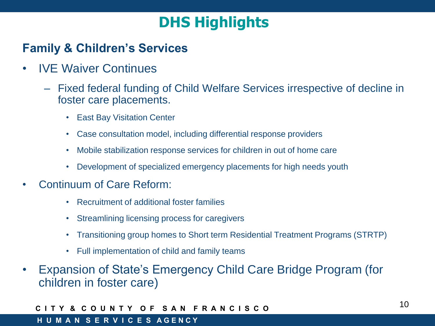# **DHS Highlights**

### **Family & Children's Services**

- IVE Waiver Continues
	- Fixed federal funding of Child Welfare Services irrespective of decline in foster care placements.
		- East Bay Visitation Center
		- Case consultation model, including differential response providers
		- Mobile stabilization response services for children in out of home care
		- Development of specialized emergency placements for high needs youth
- Continuum of Care Reform:
	- Recruitment of additional foster families
	- Streamlining licensing process for caregivers
	- Transitioning group homes to Short term Residential Treatment Programs (STRTP)
	- Full implementation of child and family teams
- Expansion of State's Emergency Child Care Bridge Program (for children in foster care)

### **C I T Y & C O U N T Y O F S A N F R A N C I S C O**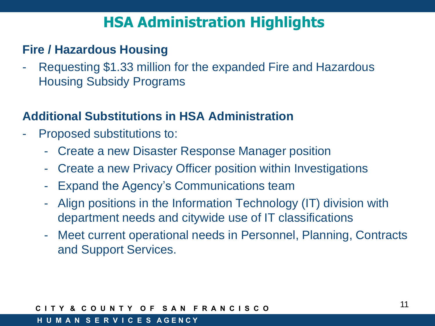# **HSA Administration Highlights**

### **Fire / Hazardous Housing**

Requesting \$1.33 million for the expanded Fire and Hazardous Housing Subsidy Programs

### **Additional Substitutions in HSA Administration**

- Proposed substitutions to:
	- Create a new Disaster Response Manager position
	- Create a new Privacy Officer position within Investigations
	- Expand the Agency's Communications team
	- Align positions in the Information Technology (IT) division with department needs and citywide use of IT classifications
	- Meet current operational needs in Personnel, Planning, Contracts and Support Services.

### **C I T Y & C O U N T Y O F S A N F R A N C I S C O**